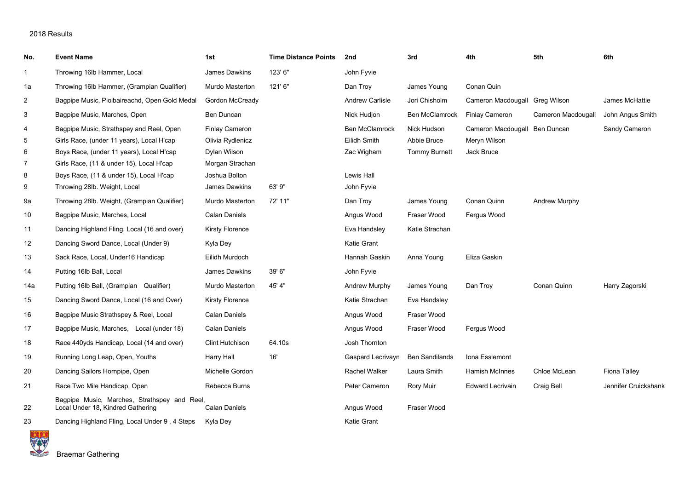| No.            | <b>Event Name</b>                                                                 | 1st                    | <b>Time Distance Points</b> | 2nd                    | 3rd                   | 4th                            | 5th                  | 6th                  |
|----------------|-----------------------------------------------------------------------------------|------------------------|-----------------------------|------------------------|-----------------------|--------------------------------|----------------------|----------------------|
| $\mathbf{1}$   | Throwing 16lb Hammer, Local                                                       | James Dawkins          | 123'6"                      | John Fyvie             |                       |                                |                      |                      |
| 1a             | Throwing 16lb Hammer, (Grampian Qualifier)                                        | Murdo Masterton        | 121'6''                     | Dan Troy               | James Young           | Conan Quin                     |                      |                      |
| $\overline{2}$ | Bagpipe Music, Pioibaireachd, Open Gold Medal                                     | Gordon McCready        |                             | <b>Andrew Carlisle</b> | Jori Chisholm         | Cameron Macdougall Greg Wilson |                      | James McHattie       |
| 3              | Bagpipe Music, Marches, Open                                                      | Ben Duncan             |                             | Nick Hudjon            | <b>Ben McClamrock</b> | <b>Finlay Cameron</b>          | Cameron Macdougall   | John Angus Smith     |
| 4              | Bagpipe Music, Strathspey and Reel, Open                                          | <b>Finlay Cameron</b>  |                             | <b>Ben McClamrock</b>  | Nick Hudson           | Cameron Macdougall Ben Duncan  |                      | Sandy Cameron        |
| 5              | Girls Race, (under 11 years), Local H'cap                                         | Olivia Rydlenicz       |                             | Eilidh Smith           | Abbie Bruce           | Meryn Wilson                   |                      |                      |
| 6              | Boys Race, (under 11 years), Local H'cap                                          | Dylan Wilson           |                             | Zac Wigham             | Tommy Burnett         | Jack Bruce                     |                      |                      |
| $\overline{7}$ | Girls Race, (11 & under 15), Local H'cap                                          | Morgan Strachan        |                             |                        |                       |                                |                      |                      |
| 8              | Boys Race, (11 & under 15), Local H'cap                                           | Joshua Bolton          |                             | Lewis Hall             |                       |                                |                      |                      |
| 9              | Throwing 28lb. Weight, Local                                                      | James Dawkins          | 63' 9"                      | John Fyvie             |                       |                                |                      |                      |
| 9a             | Throwing 28lb. Weight, (Grampian Qualifier)                                       | Murdo Masterton        | 72' 11"                     | Dan Troy               | James Young           | Conan Quinn                    | <b>Andrew Murphy</b> |                      |
| 10             | Bagpipe Music, Marches, Local                                                     | <b>Calan Daniels</b>   |                             | Angus Wood             | Fraser Wood           | Fergus Wood                    |                      |                      |
| 11             | Dancing Highland Fling, Local (16 and over)                                       | Kirsty Florence        |                             | Eva Handsley           | Katie Strachan        |                                |                      |                      |
| 12             | Dancing Sword Dance, Local (Under 9)                                              | Kyla Dey               |                             | <b>Katie Grant</b>     |                       |                                |                      |                      |
| 13             | Sack Race, Local, Under16 Handicap                                                | Eilidh Murdoch         |                             | Hannah Gaskin          | Anna Young            | Eliza Gaskin                   |                      |                      |
| 14             | Putting 16lb Ball, Local                                                          | James Dawkins          | 39' 6"                      | John Fyvie             |                       |                                |                      |                      |
| 14a            | Putting 16lb Ball, (Grampian Qualifier)                                           | Murdo Masterton        | 45' 4"                      | Andrew Murphy          | James Young           | Dan Trov                       | Conan Quinn          | Harry Zagorski       |
| 15             | Dancing Sword Dance, Local (16 and Over)                                          | <b>Kirsty Florence</b> |                             | Katie Strachan         | Eva Handsley          |                                |                      |                      |
| 16             | Bagpipe Music Strathspey & Reel, Local                                            | <b>Calan Daniels</b>   |                             | Angus Wood             | Fraser Wood           |                                |                      |                      |
| 17             | Bagpipe Music, Marches, Local (under 18)                                          | <b>Calan Daniels</b>   |                             | Angus Wood             | Fraser Wood           | Fergus Wood                    |                      |                      |
| 18             | Race 440yds Handicap, Local (14 and over)                                         | <b>Clint Hutchison</b> | 64.10s                      | Josh Thornton          |                       |                                |                      |                      |
| 19             | Running Long Leap, Open, Youths                                                   | Harry Hall             | 16'                         | Gaspard Lecrivayn      | <b>Ben Sandilands</b> | Iona Esslemont                 |                      |                      |
| 20             | Dancing Sailors Hornpipe, Open                                                    | Michelle Gordon        |                             | Rachel Walker          | Laura Smith           | Hamish McInnes                 | Chloe McLean         | Fiona Talley         |
| 21             | Race Two Mile Handicap, Open                                                      | Rebecca Burns          |                             | Peter Cameron          | Rory Muir             | <b>Edward Lecrivain</b>        | Craig Bell           | Jennifer Cruickshank |
| 22             | Bagpipe Music, Marches, Strathspey and Reel,<br>Local Under 18, Kindred Gathering | <b>Calan Daniels</b>   |                             | Angus Wood             | Fraser Wood           |                                |                      |                      |
| 23             | Dancing Highland Fling, Local Under 9, 4 Steps                                    | Kyla Dey               |                             | Katie Grant            |                       |                                |                      |                      |

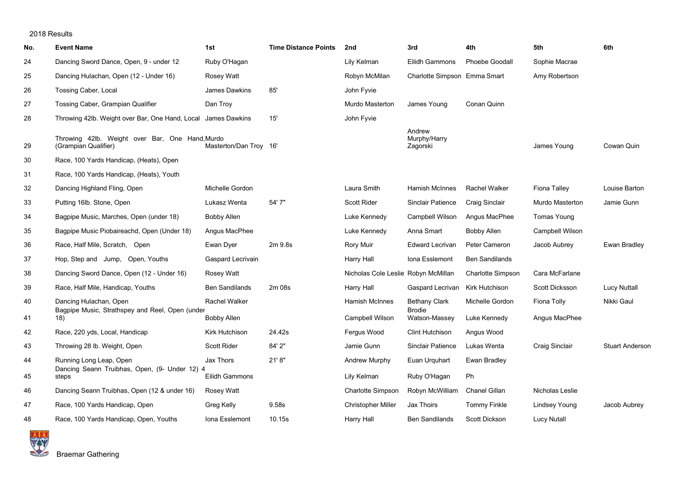| No. | <b>Event Name</b>                                                       | 1st                    | <b>Time Distance Points</b> | 2nd                                 | 3rd                                | 4th                   | 5th                  | 6th                    |
|-----|-------------------------------------------------------------------------|------------------------|-----------------------------|-------------------------------------|------------------------------------|-----------------------|----------------------|------------------------|
| 24  | Dancing Sword Dance, Open, 9 - under 12                                 | Ruby O'Hagan           |                             | Lily Kelman                         | Eilidh Gammons                     | <b>Phoebe Goodall</b> | Sophie Macrae        |                        |
| 25  | Dancing Hulachan, Open (12 - Under 16)                                  | Rosey Watt             |                             | Robyn McMilan                       | Charlotte Simpson Emma Smart       |                       | Amy Robertson        |                        |
| 26  | Tossing Caber, Local                                                    | James Dawkins          | 85'                         | John Fyvie                          |                                    |                       |                      |                        |
| 27  | Tossing Caber, Grampian Qualifier                                       | Dan Troy               |                             | <b>Murdo Masterton</b>              | James Young                        | Conan Quinn           |                      |                        |
| 28  | Throwing 42lb. Weight over Bar, One Hand, Local James Dawkins           |                        | 15'                         | John Fyvie                          |                                    |                       |                      |                        |
| 29  | Throwing 42lb. Weight over Bar, One Hand, Murdo<br>(Grampian Qualifier) | Masterton/Dan Troy 16' |                             |                                     | Andrew<br>Murphy/Harry<br>Zagorski |                       | James Young          | Cowan Quin             |
| 30  | Race, 100 Yards Handicap, (Heats), Open                                 |                        |                             |                                     |                                    |                       |                      |                        |
| 31  | Race, 100 Yards Handicap, (Heats), Youth                                |                        |                             |                                     |                                    |                       |                      |                        |
| 32  | Dancing Highland Fling, Open                                            | Michelle Gordon        |                             | Laura Smith                         | <b>Hamish McInnes</b>              | Rachel Walker         | Fiona Talley         | Louise Barton          |
| 33  | Putting 16lb. Stone, Open                                               | Lukasz Wenta           | 54' 7"                      | <b>Scott Rider</b>                  | <b>Sinclair Patience</b>           | Craig Sinclair        | Murdo Masterton      | Jamie Gunn             |
| 34  | Bagpipe Music, Marches, Open (under 18)                                 | <b>Bobby Allen</b>     |                             | Luke Kennedy                        | Campbell Wilson                    | Angus MacPhee         | Tomas Young          |                        |
| 35  | Bagpipe Music Piobaireachd, Open (Under 18)                             | Angus MacPhee          |                             | Luke Kennedy                        | Anna Smart                         | Bobby Allen           | Campbell Wilson      |                        |
| 36  | Race, Half Mile, Scratch, Open                                          | Ewan Dyer              | 2m 9.8s                     | Rory Muir                           | <b>Edward Lecrivan</b>             | Peter Cameron         | Jacob Aubrey         | Ewan Bradley           |
| 37  | Hop, Step and Jump, Open, Youths                                        | Gaspard Lecrivain      |                             | Harry Hall                          | Iona Esslemont                     | <b>Ben Sandilands</b> |                      |                        |
| 38  | Dancing Sword Dance, Open (12 - Under 16)                               | Rosey Watt             |                             | Nicholas Cole Leslie Robyn McMillan |                                    | Charlotte Simpson     | Cara McFarlane       |                        |
| 39  | Race, Half Mile, Handicap, Youths                                       | <b>Ben Sandilands</b>  | 2m 08s                      | Harry Hall                          | Gaspard Lecrivan                   | Kirk Hutchison        | Scott Dicksson       | <b>Lucy Nuttall</b>    |
| 40  | Dancing Hulachan, Open                                                  | Rachel Walker          |                             | <b>Hamish McInnes</b>               | <b>Bethany Clark</b>               | Michelle Gordon       | Fiona Tolly          | Nikki Gaul             |
| 41  | Bagpipe Music, Strathspey and Reel, Open (under<br>18)                  | <b>Bobby Allen</b>     |                             | Campbell Wilson                     | <b>Brodie</b><br>Watson-Massey     | Luke Kennedy          | Angus MacPhee        |                        |
| 42  | Race, 220 yds, Local, Handicap                                          | Kirk Hutchison         | 24.42s                      | Fergus Wood                         | Clint Hutchison                    | Angus Wood            |                      |                        |
| 43  | Throwing 28 lb. Weight, Open                                            | <b>Scott Rider</b>     | 84' 2"                      | Jamie Gunn                          | <b>Sinclair Patience</b>           | Lukas Wenta           | Craig Sinclair       | <b>Stuart Anderson</b> |
| 44  | Running Long Leap, Open                                                 | Jax Thors              | 21'8"                       | Andrew Murphy                       | Euan Urquhart                      | Ewan Bradley          |                      |                        |
| 45  | Dancing Seann Truibhas, Open, (9- Under 12) 4<br>steps                  | Eilidh Gammons         |                             | Lily Kelman                         | Ruby O'Hagan                       | Ph                    |                      |                        |
| 46  | Dancing Seann Truibhas, Open (12 & under 16)                            | Rosey Watt             |                             | Charlotte Simpson                   | Robyn McWilliam                    | <b>Chanel Gillan</b>  | Nicholas Leslie      |                        |
| 47  | Race, 100 Yards Handicap, Open                                          | Greg Kelly             | 9.58s                       | <b>Christopher Miller</b>           | Jax Thoirs                         | <b>Tommy Finkle</b>   | <b>Lindsey Young</b> | Jacob Aubrey           |
| 48  | Race, 100 Yards Handicap, Open, Youths                                  | Iona Esslemont         | 10.15s                      | Harry Hall                          | <b>Ben Sandilands</b>              | Scott Dickson         | <b>Lucy Nutall</b>   |                        |

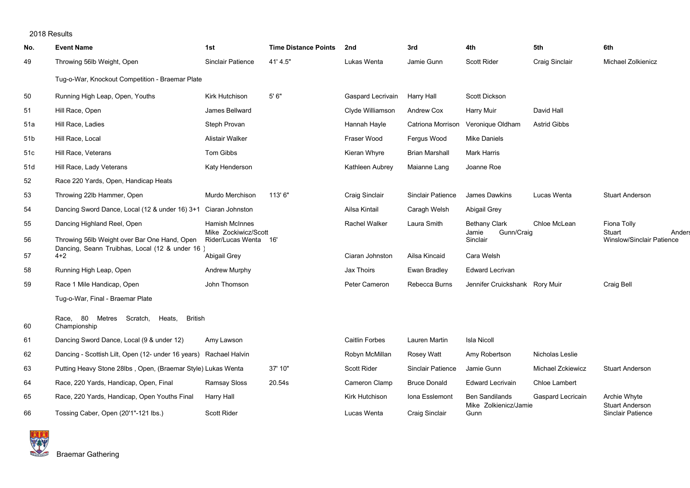| No.             | <b>Event Name</b>                                                 | 1st                                           | <b>Time Distance Points</b> | 2nd                   | 3rd                      | 4th                             | 5th                 | 6th                                           |
|-----------------|-------------------------------------------------------------------|-----------------------------------------------|-----------------------------|-----------------------|--------------------------|---------------------------------|---------------------|-----------------------------------------------|
| 49              | Throwing 56lb Weight, Open                                        | <b>Sinclair Patience</b>                      | 41' 4.5"                    | Lukas Wenta           | Jamie Gunn               | <b>Scott Rider</b>              | Craig Sinclair      | Michael Zolkienicz                            |
|                 | Tug-o-War, Knockout Competition - Braemar Plate                   |                                               |                             |                       |                          |                                 |                     |                                               |
| 50              | Running High Leap, Open, Youths                                   | Kirk Hutchison                                | 5'6''                       | Gaspard Lecrivain     | Harry Hall               | <b>Scott Dickson</b>            |                     |                                               |
| 51              | Hill Race, Open                                                   | James Bellward                                |                             | Clyde Williamson      | Andrew Cox               | <b>Harry Muir</b>               | David Hall          |                                               |
| 51a             | Hill Race, Ladies                                                 | Steph Provan                                  |                             | Hannah Hayle          | Catriona Morrison        | Veronique Oldham                | <b>Astrid Gibbs</b> |                                               |
| 51 <sub>b</sub> | Hill Race, Local                                                  | Alistair Walker                               |                             | Fraser Wood           | Fergus Wood              | <b>Mike Daniels</b>             |                     |                                               |
| 51c             | Hill Race, Veterans                                               | Tom Gibbs                                     |                             | Kieran Whyre          | <b>Brian Marshall</b>    | Mark Harris                     |                     |                                               |
| 51d             | Hill Race, Lady Veterans                                          | Katy Henderson                                |                             | Kathleen Aubrey       | Maianne Lang             | Joanne Roe                      |                     |                                               |
| 52              | Race 220 Yards, Open, Handicap Heats                              |                                               |                             |                       |                          |                                 |                     |                                               |
| 53              | Throwing 22lb Hammer, Open                                        | Murdo Merchison                               | 113'6"                      | Craig Sinclair        | <b>Sinclair Patience</b> | <b>James Dawkins</b>            | Lucas Wenta         | <b>Stuart Anderson</b>                        |
| 54              | Dancing Sword Dance, Local (12 & under 16) 3+1 Ciaran Johnston    |                                               |                             | Ailsa Kintail         | Caragh Welsh             | Abigail Grey                    |                     |                                               |
| 55              | Dancing Highland Reel, Open                                       | Hamish McInnes                                |                             | Rachel Walker         | Laura Smith              | <b>Bethany Clark</b>            | Chloe McLean        | Fiona Tolly                                   |
| 56              | Throwing 56lb Weight over Bar One Hand, Open                      | Mike Zockiwicz/Scott<br>Rider/Lucas Wenta 16' |                             |                       |                          | Gunn/Craig<br>Jamie<br>Sinclair |                     | Stuart<br>Anders<br>Winslow/Sinclair Patience |
| 57              | Dancing, Seann Truibhas, Local (12 & under 16)<br>$4 + 2$         | Abigail Grey                                  |                             | Ciaran Johnston       | Ailsa Kincaid            | Cara Welsh                      |                     |                                               |
| 58              | Running High Leap, Open                                           | <b>Andrew Murphy</b>                          |                             | Jax Thoirs            | Ewan Bradley             | <b>Edward Lecrivan</b>          |                     |                                               |
| 59              | Race 1 Mile Handicap, Open                                        | John Thomson                                  |                             | Peter Cameron         | Rebecca Burns            | Jennifer Cruickshank Rory Muir  |                     | Craig Bell                                    |
|                 | Tug-o-War, Final - Braemar Plate                                  |                                               |                             |                       |                          |                                 |                     |                                               |
| 60              | Race, 80 Metres Scratch, Heats, British<br>Championship           |                                               |                             |                       |                          |                                 |                     |                                               |
| 61              | Dancing Sword Dance, Local (9 & under 12)                         | Amy Lawson                                    |                             | <b>Caitlin Forbes</b> | Lauren Martin            | <b>Isla Nicoll</b>              |                     |                                               |
| 62              | Dancing - Scottish Lilt, Open (12- under 16 years) Rachael Halvin |                                               |                             | Robyn McMillan        | Rosey Watt               | Amy Robertson                   | Nicholas Leslie     |                                               |
| 63              | Putting Heavy Stone 28lbs, Open, (Braemar Style) Lukas Wenta      |                                               | 37' 10"                     | <b>Scott Rider</b>    | <b>Sinclair Patience</b> | Jamie Gunn                      | Michael Zckiewicz   | <b>Stuart Anderson</b>                        |
| 64              | Race, 220 Yards, Handicap, Open, Final                            | Ramsay Sloss                                  | 20.54s                      | Cameron Clamp         | <b>Bruce Donald</b>      | <b>Edward Lecrivain</b>         | Chloe Lambert       |                                               |
| 65              | Race, 220 Yards, Handicap, Open Youths Final                      | Harry Hall                                    |                             | Kirk Hutchison        | Iona Esslemont           | <b>Ben Sandilands</b>           | Gaspard Lecricain   | Archie Whyte                                  |
| 66              | Tossing Caber, Open (20'1"-121 lbs.)                              | <b>Scott Rider</b>                            |                             | Lucas Wenta           | Craig Sinclair           | Mike Zolkienicz/Jamie<br>Gunn   |                     | <b>Stuart Anderson</b><br>Sinclair Patience   |